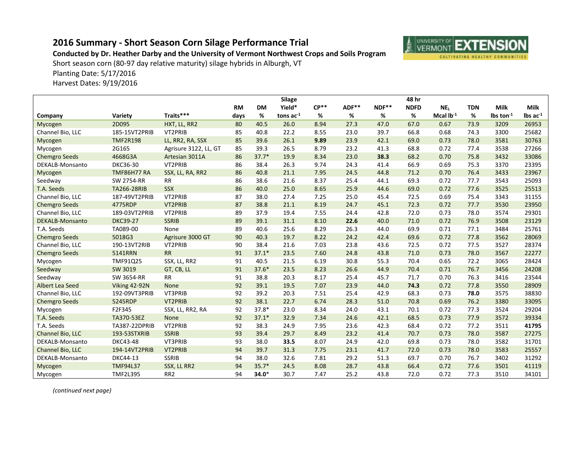## **2016 Summary - Short Season Corn Silage Performance Trial**



**Conducted by Dr. Heather Darby and the University of Vermont Northwest Crops and Soils Program**

Short season corn (80-97 day relative maturity) silage hybrids in Alburgh, VT

Planting Date: 5/17/2016

Harvest Dates: 9/19/2016

|                        |                    |                       |           |           | <b>Silage</b> |        |       |         | 48 hr       |                 |            |                         |                               |
|------------------------|--------------------|-----------------------|-----------|-----------|---------------|--------|-------|---------|-------------|-----------------|------------|-------------------------|-------------------------------|
|                        |                    |                       | <b>RM</b> | <b>DM</b> | Yield*        | $CP**$ | ADF** | $NDF**$ | <b>NDFD</b> | NE <sub>L</sub> | <b>TDN</b> | <b>Milk</b>             | Milk                          |
| Company                | Variety            | Traits***             | days      | %         | tons $ac-1$   | %      | %     | %       | %           | Mcal $Ib^{-1}$  | %          | $\ln$ ton <sup>-1</sup> | $\text{Ibs}$ ac <sup>-1</sup> |
| Mycogen                | 2D095              | HXT, LL, RR2          | 80        | 40.5      | 26.0          | 8.94   | 27.3  | 47.0    | 67.0        | 0.67            | 73.9       | 3209                    | 26953                         |
| Channel Bio, LLC       | 185-15VT2PRIB      | VT2PRIB               | 85        | 40.8      | 22.2          | 8.55   | 23.0  | 39.7    | 66.8        | 0.68            | 74.3       | 3300                    | 25682                         |
| Mycogen                | <b>TMF2R198</b>    | LL, RR2, RA, SSX      | 85        | 39.6      | 26.1          | 9.89   | 23.9  | 42.1    | 69.0        | 0.73            | 78.0       | 3581                    | 30763                         |
| Mycogen                | 2G165              | Agrisure 3122, LL, GT | 85        | 39.3      | 26.5          | 8.79   | 23.2  | 41.3    | 68.8        | 0.72            | 77.4       | 3538                    | 27266                         |
| <b>Chemgro Seeds</b>   | 4668G3A            | Artesian 3011A        | 86        | $37.7*$   | 19.9          | 8.34   | 23.0  | 38.3    | 68.2        | 0.70            | 75.8       | 3432                    | 33086                         |
| DEKALB-Monsanto        | DKC36-30           | VT2PRIB               | 86        | 38.4      | 26.3          | 9.74   | 24.3  | 41.4    | 66.9        | 0.69            | 75.3       | 3370                    | 23395                         |
| Mycogen                | <b>TMF86H77 RA</b> | SSX, LL, RA, RR2      | 86        | 40.8      | 21.1          | 7.95   | 24.5  | 44.8    | 71.2        | 0.70            | 76.4       | 3433                    | 23967                         |
| Seedway                | <b>SW 2754-RR</b>  | RR                    | 86        | 38.6      | 21.6          | 8.37   | 25.4  | 44.1    | 69.3        | 0.72            | 77.7       | 3543                    | 25093                         |
| T.A. Seeds             | <b>TA266-28RIB</b> | <b>SSX</b>            | 86        | 40.0      | 25.0          | 8.65   | 25.9  | 44.6    | 69.0        | 0.72            | 77.6       | 3525                    | 25513                         |
| Channel Bio, LLC       | 187-49VT2PRIB      | VT2PRIB               | 87        | 38.0      | 27.4          | 7.25   | 25.0  | 45.4    | 72.5        | 0.69            | 75.4       | 3343                    | 31155                         |
| <b>Chemgro Seeds</b>   | 4775RDP            | VT2PRIB               | 87        | 38.8      | 21.1          | 8.19   | 24.7  | 45.1    | 72.3        | 0.72            | 77.7       | 3530                    | 23950                         |
| Channel Bio, LLC       | 189-03VT2PRIB      | VT2PRIB               | 89        | 37.9      | 19.4          | 7.55   | 24.4  | 42.8    | 72.0        | 0.73            | 78.0       | 3574                    | 29301                         |
| <b>DEKALB-Monsanto</b> | <b>DKC39-27</b>    | <b>SSRIB</b>          | 89        | 39.1      | 31.1          | 8.10   | 22.6  | 40.0    | 71.0        | 0.72            | 76.9       | 3508                    | 23129                         |
| T.A. Seeds             | TA089-00           | None                  | 89        | 40.6      | 25.6          | 8.29   | 26.3  | 44.0    | 69.9        | 0.71            | 77.1       | 3484                    | 25761                         |
| <b>Chemgro Seeds</b>   | 5018G3             | Agrisure 3000 GT      | 90        | 40.3      | 19.7          | 8.22   | 24.2  | 42.4    | 69.6        | 0.72            | 77.8       | 3562                    | 28069                         |
| Channel Bio, LLC       | 190-13VT2RIB       | VT2PRIB               | 90        | 38.4      | 21.6          | 7.03   | 23.8  | 43.6    | 72.5        | 0.72            | 77.5       | 3527                    | 28374                         |
| <b>Chemgro Seeds</b>   | 5141RRN            | <b>RR</b>             | 91        | $37.1*$   | 23.5          | 7.60   | 24.8  | 43.8    | 71.0        | 0.73            | 78.0       | 3567                    | 22277                         |
| Mycogen                | TMF91Q25           | SSX, LL, RR2          | 91        | 40.5      | 21.5          | 6.19   | 30.8  | 55.3    | 70.4        | 0.65            | 72.2       | 3065                    | 28424                         |
| Seedway                | SW 3019            | GT, CB, LL            | 91        | $37.6*$   | 23.5          | 8.23   | 26.6  | 44.9    | 70.4        | 0.71            | 76.7       | 3456                    | 24208                         |
| Seedway                | SW 3654-RR         | <b>RR</b>             | 91        | 38.8      | 20.3          | 8.17   | 25.4  | 45.7    | 71.7        | 0.70            | 76.3       | 3416                    | 23544                         |
| Albert Lea Seed        | Viking 42-92N      | None                  | 92        | 39.1      | 19.5          | 7.07   | 23.9  | 44.0    | 74.3        | 0.72            | 77.8       | 3550                    | 28909                         |
| Channel Bio, LLC       | 192-09VT3PRIB      | VT3PRIB               | 92        | 39.2      | 20.3          | 7.51   | 25.4  | 42.9    | 68.3        | 0.73            | 78.0       | 3575                    | 38830                         |
| <b>Chemgro Seeds</b>   | 5245RDP            | VT2PRIB               | 92        | 38.1      | 22.7          | 6.74   | 28.3  | 51.0    | 70.8        | 0.69            | 76.2       | 3380                    | 33095                         |
| Mycogen                | F2F345             | SSX, LL, RR2, RA      | 92        | 37.8*     | 23.0          | 8.34   | 24.0  | 43.1    | 70.1        | 0.72            | 77.3       | 3524                    | 29204                         |
| T.A. Seeds             | TA370-53EZ         | None                  | 92        | $37.1*$   | 32.9          | 7.34   | 24.6  | 42.1    | 68.5        | 0.73            | 77.9       | 3572                    | 39334                         |
| T.A. Seeds             | TA387-22DPRIB      | VT2PRIB               | 92        | 38.3      | 24.9          | 7.95   | 23.6  | 42.3    | 68.4        | 0.72            | 77.2       | 3511                    | 41795                         |
| Channel Bio, LLC       | 193-53STXRIB       | <b>SSRIB</b>          | 93        | 39.4      | 29.7          | 8.49   | 23.2  | 41.4    | 70.7        | 0.73            | 78.0       | 3587                    | 27275                         |
| DEKALB-Monsanto        | <b>DKC43-48</b>    | VT3PRIB               | 93        | 38.0      | 33.5          | 8.07   | 24.9  | 42.0    | 69.8        | 0.73            | 78.0       | 3582                    | 31701                         |
| Channel Bio, LLC       | 194-14VT2PRIB      | VT2PRIB               | 94        | 39.7      | 31.3          | 7.75   | 23.1  | 41.7    | 72.0        | 0.73            | 78.0       | 3583                    | 25557                         |
| DEKALB-Monsanto        | <b>DKC44-13</b>    | <b>SSRIB</b>          | 94        | 38.0      | 32.6          | 7.81   | 29.2  | 51.3    | 69.7        | 0.70            | 76.7       | 3402                    | 31292                         |
| Mycogen                | <b>TMF94L37</b>    | SSX, LL RR2           | 94        | $35.7*$   | 24.5          | 8.08   | 28.7  | 43.8    | 66.4        | 0.72            | 77.6       | 3501                    | 41119                         |
| Mycogen                | <b>TMF2L395</b>    | RR <sub>2</sub>       | 94        | 34.0*     | 30.7          | 7.47   | 25.2  | 43.8    | 72.0        | 0.72            | 77.3       | 3510                    | 34101                         |

*(continued next page)*